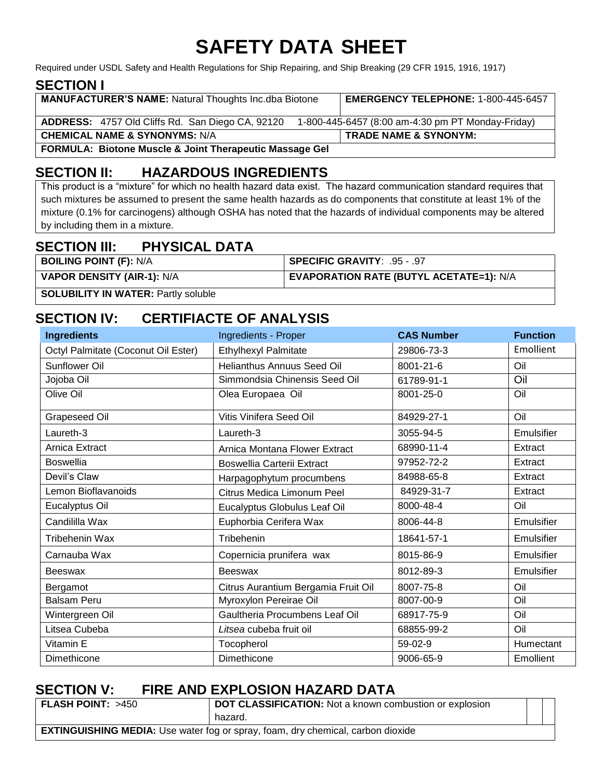# **SAFETY DATA SHEET**

Required under USDL Safety and Health Regulations for Ship Repairing, and Ship Breaking (29 CFR 1915, 1916, 1917)

### **SECTION I**

| <b>MANUFACTURER'S NAME:</b> Natural Thoughts Inc.dba Biotone       | <b>EMERGENCY TELEPHONE: 1-800-445-6457</b>        |  |  |
|--------------------------------------------------------------------|---------------------------------------------------|--|--|
| ADDRESS: 4757 Old Cliffs Rd. San Diego CA, 92120                   | 1-800-445-6457 (8:00 am-4:30 pm PT Monday-Friday) |  |  |
| <b>CHEMICAL NAME &amp; SYNONYMS: N/A</b>                           | <b>TRADE NAME &amp; SYNONYM:</b>                  |  |  |
| <b>FORMULA: Biotone Muscle &amp; Joint Therapeutic Massage Gel</b> |                                                   |  |  |

# **SECTION II: HAZARDOUS INGREDIENTS**

This product is a "mixture" for which no health hazard data exist. The hazard communication standard requires that such mixtures be assumed to present the same health hazards as do components that constitute at least 1% of the mixture (0.1% for carcinogens) although OSHA has noted that the hazards of individual components may be altered by including them in a mixture.

### **SECTION III: PHYSICAL DATA**

| <b>BOILING POINT (F): N/A</b>     | SPECIFIC GRAVITY: .95 - .97             |
|-----------------------------------|-----------------------------------------|
| <b>VAPOR DENSITY (AIR-1): N/A</b> | EVAPORATION RATE (BUTYL ACETATE=1): N/A |
|                                   |                                         |

**SOLUBILITY IN WATER: Partly soluble** 

# **SECTION IV: CERTIFIACTE OF ANALYSIS**

| <b>Ingredients</b>                  | Ingredients - Proper                | <b>CAS Number</b> | <b>Function</b> |
|-------------------------------------|-------------------------------------|-------------------|-----------------|
| Octyl Palmitate (Coconut Oil Ester) | <b>Ethylhexyl Palmitate</b>         | 29806-73-3        | Emollient       |
| <b>Sunflower Oil</b>                | Helianthus Annuus Seed Oil          | 8001-21-6         | Oil             |
| Jojoba Oil                          | Simmondsia Chinensis Seed Oil       | 61789-91-1        | Oil             |
| Olive Oil                           | Olea Europaea Oil                   | 8001-25-0         | Oil             |
| <b>Grapeseed Oil</b>                | Vitis Vinifera Seed Oil             | 84929-27-1        | Oil             |
| Laureth-3                           | Laureth-3                           | 3055-94-5         | Emulsifier      |
| Arnica Extract                      | Arnica Montana Flower Extract       | 68990-11-4        | Extract         |
| <b>Boswellia</b>                    | <b>Boswellia Carterii Extract</b>   | 97952-72-2        | Extract         |
| Devil's Claw                        | Harpagophytum procumbens            | 84988-65-8        | Extract         |
| Lemon Bioflavanoids                 | Citrus Medica Limonum Peel          | 84929-31-7        | Extract         |
| Eucalyptus Oil                      | Eucalyptus Globulus Leaf Oil        | 8000-48-4         | Oil             |
| Candililla Wax                      | Euphorbia Cerifera Wax              | 8006-44-8         | Emulsifier      |
| Tribehenin Wax                      | Tribehenin                          | 18641-57-1        | Emulsifier      |
| Carnauba Wax                        | Copernicia prunifera wax            | 8015-86-9         | Emulsifier      |
| <b>Beeswax</b>                      | <b>Beeswax</b>                      | 8012-89-3         | Emulsifier      |
| Bergamot                            | Citrus Aurantium Bergamia Fruit Oil | 8007-75-8         | Oil             |
| <b>Balsam Peru</b>                  | Myroxylon Pereirae Oil              | 8007-00-9         | Oil             |
| Wintergreen Oil                     | Gaultheria Procumbens Leaf Oil      | 68917-75-9        | Oil             |
| Litsea Cubeba                       | Litsea cubeba fruit oil             | 68855-99-2        | Oil             |
| Vitamin E                           | Tocopherol                          | 59-02-9           | Humectant       |
| Dimethicone                         | Dimethicone                         | 9006-65-9         | Emollient       |

### **SECTION V: FIRE AND EXPLOSION HAZARD DATA**

| FLASH POINT: >450                                                                      | DOT CLASSIFICATION: Not a known combustion or explosion |  |  |  |
|----------------------------------------------------------------------------------------|---------------------------------------------------------|--|--|--|
|                                                                                        | hazard.                                                 |  |  |  |
| <b>EXTINGUISHING MEDIA:</b> Use water fog or spray, foam, dry chemical, carbon dioxide |                                                         |  |  |  |